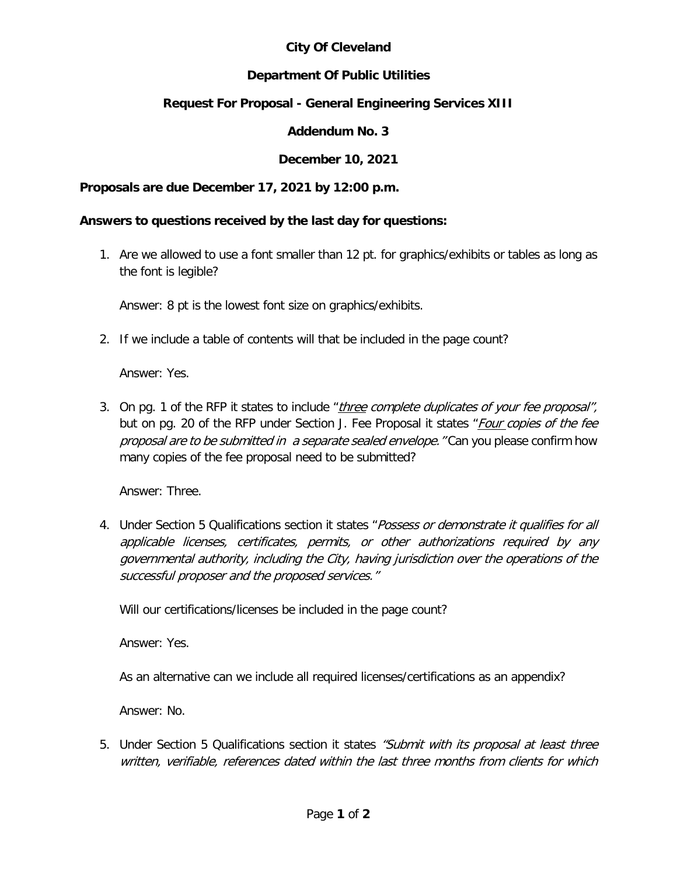## **City Of Cleveland**

## **Department Of Public Utilities**

# **Request For Proposal - General Engineering Services XIII**

## **Addendum No. 3**

## **December 10, 2021**

### **Proposals are due December 17, 2021 by 12:00 p.m.**

#### **Answers to questions received by the last day for questions:**

1. Are we allowed to use a font smaller than 12 pt. for graphics/exhibits or tables as long as the font is legible?

Answer: 8 pt is the lowest font size on graphics/exhibits.

2. If we include a table of contents will that be included in the page count?

Answer: Yes.

3. On pg. 1 of the RFP it states to include "three complete duplicates of your fee proposal", but on pg. 20 of the RFP under Section J. Fee Proposal it states "*Four copies of the fee* proposal are to be submitted in a separate sealed envelope." Can you please confirm how many copies of the fee proposal need to be submitted?

Answer: Three.

4. Under Section 5 Qualifications section it states "*Possess or demonstrate it qualifies for all* applicable licenses, certificates, permits, or other authorizations required by any governmental authority, including the City, having jurisdiction over the operations of the successful proposer and the proposed services."

Will our certifications/licenses be included in the page count?

Answer: Yes.

As an alternative can we include all required licenses/certifications as an appendix?

Answer: No.

5. Under Section 5 Qualifications section it states "Submit with its proposal at least three written, verifiable, references dated within the last three months from clients for which